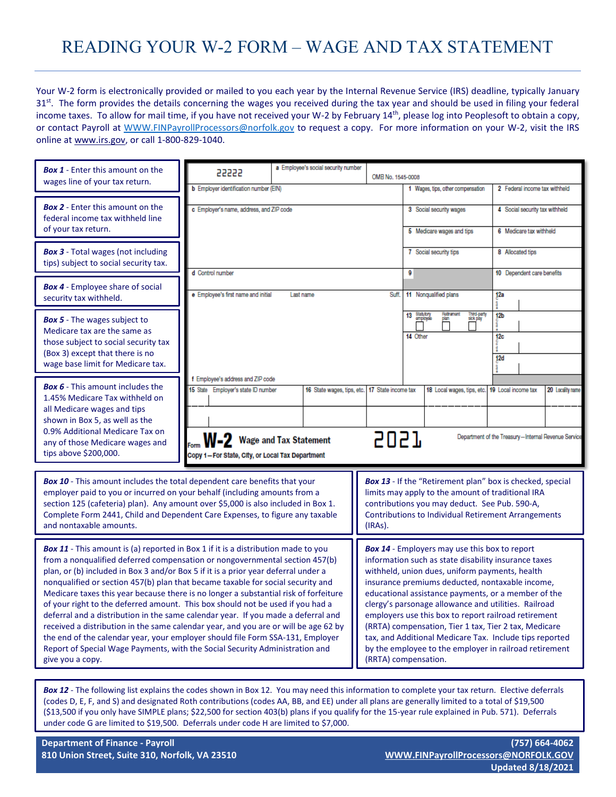## READING YOUR W-2 FORM – WAGE AND TAX STATEMENT

Your W-2 form is electronically provided or mailed to you each year by the Internal Revenue Service (IRS) deadline, typically January 31<sup>st</sup>. The form provides the details concerning the wages you received during the tax year and should be used in filing your federal income taxes. To allow for mail time, if you have not received your W-2 by February 14<sup>th</sup>, please log into Peoplesoft to obtain a copy, or contact Payroll at [WWW.FINPayrollProcessors@norfolk.gov](http://WWW.FINPayrollProcessors@norfolk.gov) to request a copy. For more information on your W-2, visit the IRS online at [www.irs.gov,](http://www.irs.gov/) or call 1-800-829-1040.

| <b>Box 1</b> - Enter this amount on the<br>wages line of your tax return.                                                                                                                                                                                                                                                                                                                                                                                                                                                                                                                                                                                                                                                                                                                                                                                                                    | 55555                                                                                                                              | a Employee's social security number                                             | OMB No. 1545-0008                                                                                                                                                                                                                                                                                                                                                                                                                                                                                                                                                                              |                                                                           |                                                                         |  |  |
|----------------------------------------------------------------------------------------------------------------------------------------------------------------------------------------------------------------------------------------------------------------------------------------------------------------------------------------------------------------------------------------------------------------------------------------------------------------------------------------------------------------------------------------------------------------------------------------------------------------------------------------------------------------------------------------------------------------------------------------------------------------------------------------------------------------------------------------------------------------------------------------------|------------------------------------------------------------------------------------------------------------------------------------|---------------------------------------------------------------------------------|------------------------------------------------------------------------------------------------------------------------------------------------------------------------------------------------------------------------------------------------------------------------------------------------------------------------------------------------------------------------------------------------------------------------------------------------------------------------------------------------------------------------------------------------------------------------------------------------|---------------------------------------------------------------------------|-------------------------------------------------------------------------|--|--|
|                                                                                                                                                                                                                                                                                                                                                                                                                                                                                                                                                                                                                                                                                                                                                                                                                                                                                              | <b>b</b> Employer identification number (EIN)                                                                                      |                                                                                 |                                                                                                                                                                                                                                                                                                                                                                                                                                                                                                                                                                                                | 1 Wages, tips, other compensation                                         | 2 Federal income tax withheld                                           |  |  |
| <b>Box 2</b> - Enter this amount on the<br>federal income tax withheld line<br>of your tax return.                                                                                                                                                                                                                                                                                                                                                                                                                                                                                                                                                                                                                                                                                                                                                                                           | c Employer's name, address, and ZIP code                                                                                           |                                                                                 |                                                                                                                                                                                                                                                                                                                                                                                                                                                                                                                                                                                                | 3 Social security wages<br>5 Medicare wages and tips                      | 4 Social security tax withheld<br>6 Medicare tax withheld               |  |  |
|                                                                                                                                                                                                                                                                                                                                                                                                                                                                                                                                                                                                                                                                                                                                                                                                                                                                                              |                                                                                                                                    |                                                                                 |                                                                                                                                                                                                                                                                                                                                                                                                                                                                                                                                                                                                |                                                                           |                                                                         |  |  |
| <b>Box 3</b> - Total wages (not including<br>tips) subject to social security tax.                                                                                                                                                                                                                                                                                                                                                                                                                                                                                                                                                                                                                                                                                                                                                                                                           | d Control number                                                                                                                   |                                                                                 | 7 Social security tips<br>9                                                                                                                                                                                                                                                                                                                                                                                                                                                                                                                                                                    | 8 Allocated tips<br>10 Dependent care benefits                            |                                                                         |  |  |
| <b>Box 4</b> - Employee share of social<br>security tax withheld.                                                                                                                                                                                                                                                                                                                                                                                                                                                                                                                                                                                                                                                                                                                                                                                                                            | e Employee's first name and initial                                                                                                | Last name                                                                       | Suff.                                                                                                                                                                                                                                                                                                                                                                                                                                                                                                                                                                                          | 11 Nonqualified plans                                                     | 12a                                                                     |  |  |
| <b>Box 5</b> - The wages subject to<br>Medicare tax are the same as<br>those subject to social security tax<br>(Box 3) except that there is no<br>wage base limit for Medicare tax.                                                                                                                                                                                                                                                                                                                                                                                                                                                                                                                                                                                                                                                                                                          |                                                                                                                                    |                                                                                 |                                                                                                                                                                                                                                                                                                                                                                                                                                                                                                                                                                                                | 13 Statutory<br>Rottramont<br>Third-party<br>sick pay<br>plan<br>14 Other | 12 <sub>b</sub><br>12c<br>12d                                           |  |  |
| <b>Box 6</b> - This amount includes the<br>1.45% Medicare Tax withheld on<br>all Medicare wages and tips<br>shown in Box 5, as well as the<br>0.9% Additional Medicare Tax on<br>any of those Medicare wages and<br>tips above \$200,000.                                                                                                                                                                                                                                                                                                                                                                                                                                                                                                                                                                                                                                                    | f Employee's address and ZIP code<br>15 State Employer's state ID number<br>W-2<br>Copy 1-For State, City, or Local Tax Department | 16 State wages, tips, etc. 17 State income tax<br><b>Wage and Tax Statement</b> | 5057                                                                                                                                                                                                                                                                                                                                                                                                                                                                                                                                                                                           | 18 Local wages, tips, etc. 19 Local income tax                            | 20 Locality name<br>Department of the Treasury-Internal Revenue Service |  |  |
| <b>Box 10</b> - This amount includes the total dependent care benefits that your<br>employer paid to you or incurred on your behalf (including amounts from a<br>section 125 (cafeteria) plan). Any amount over \$5,000 is also included in Box 1.<br>Complete Form 2441, Child and Dependent Care Expenses, to figure any taxable<br>and nontaxable amounts.                                                                                                                                                                                                                                                                                                                                                                                                                                                                                                                                |                                                                                                                                    |                                                                                 | <b>Box 13</b> - If the "Retirement plan" box is checked, special<br>limits may apply to the amount of traditional IRA<br>contributions you may deduct. See Pub. 590-A,<br><b>Contributions to Individual Retirement Arrangements</b><br>(IRAs).                                                                                                                                                                                                                                                                                                                                                |                                                                           |                                                                         |  |  |
| <b>Box 11</b> - This amount is (a) reported in Box 1 if it is a distribution made to you<br>from a nongualified deferred compensation or nongovernmental section 457(b)<br>plan, or (b) included in Box 3 and/or Box 5 if it is a prior year deferral under a<br>nonqualified or section 457(b) plan that became taxable for social security and<br>Medicare taxes this year because there is no longer a substantial risk of forfeiture<br>of your right to the deferred amount. This box should not be used if you had a<br>deferral and a distribution in the same calendar year. If you made a deferral and<br>received a distribution in the same calendar year, and you are or will be age 62 by<br>the end of the calendar year, your employer should file Form SSA-131, Employer<br>Report of Special Wage Payments, with the Social Security Administration and<br>give you a copy. |                                                                                                                                    |                                                                                 | <b>Box 14</b> - Employers may use this box to report<br>information such as state disability insurance taxes<br>withheld, union dues, uniform payments, health<br>insurance premiums deducted, nontaxable income,<br>educational assistance payments, or a member of the<br>clergy's parsonage allowance and utilities. Railroad<br>employers use this box to report railroad retirement<br>(RRTA) compensation, Tier 1 tax, Tier 2 tax, Medicare<br>tax, and Additional Medicare Tax. Include tips reported<br>by the employee to the employer in railroad retirement<br>(RRTA) compensation. |                                                                           |                                                                         |  |  |

*Box 12* - The following list explains the codes shown in Box 12. You may need this information to complete your tax return. Elective deferrals (codes D, E, F, and S) and designated Roth contributions (codes AA, BB, and EE) under all plans are generally limited to a total of \$19,500 (\$13,500 if you only have SIMPLE plans; \$22,500 for section 403(b) plans if you qualify for the 15-year rule explained in Pub. 571). Deferrals under code G are limited to \$19,500. Deferrals under code H are limited to \$7,000.

**Updated 8/18/2021**